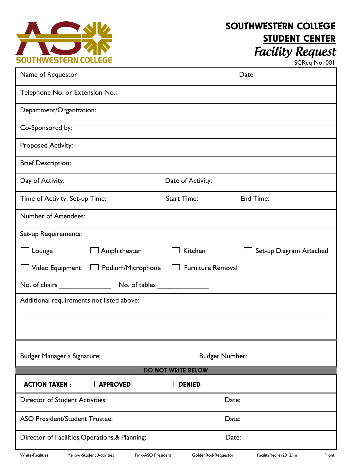

## SOUTHWESTERN COLLEGE STUDENT CENTER **Facility Request**

| SCReq No. 001 |  |  |
|---------------|--|--|
|---------------|--|--|

| Name of Requestor:                                                                |                       | Date:                          |  |
|-----------------------------------------------------------------------------------|-----------------------|--------------------------------|--|
| Telephone No. or Extension No.:                                                   |                       |                                |  |
| Department/Organization:                                                          |                       |                                |  |
| Co-Sponsored by:                                                                  |                       |                                |  |
| <b>Proposed Activity:</b>                                                         |                       |                                |  |
| <b>Brief Description:</b>                                                         |                       |                                |  |
| Day of Activity:                                                                  | Date of Activity:     |                                |  |
| Time of Activity: Set-up Time:                                                    | <b>Start Time:</b>    | End Time:                      |  |
| Number of Attendees:                                                              |                       |                                |  |
| Set-up Requirements:                                                              |                       |                                |  |
| $\Box$ Lounge<br>Amphitheater                                                     | Kitchen               | Set-up Diagram Attached        |  |
| <b>Furniture Removal</b><br>$\Box$ Video Equipment<br>$\Box$ Podium/Microphone    |                       |                                |  |
| No. of chairs _______________                                                     |                       |                                |  |
| Additional requirements not listed above:                                         |                       |                                |  |
|                                                                                   |                       |                                |  |
|                                                                                   |                       |                                |  |
| <b>Budget Manager's Signature:</b>                                                | <b>Budget Number:</b> |                                |  |
| <b>DO NOT WRITE BELOW</b>                                                         |                       |                                |  |
| <b>ACTION TAKEN:</b><br><b>APPROVED</b>                                           | <b>DENIED</b>         |                                |  |
| <b>Director of Student Activities:</b>                                            | Date:                 |                                |  |
| <b>ASO President/Student Trustee:</b>                                             | Date:                 |                                |  |
| Director of Facilities, Operations, & Planning:<br>Date:                          |                       |                                |  |
| <b>White-Facilities</b><br>Pink-ASO President<br><b>Yellow-Student Activities</b> | GoldenRod-Requestor   | FacilityReqrev2012/jm<br>Front |  |